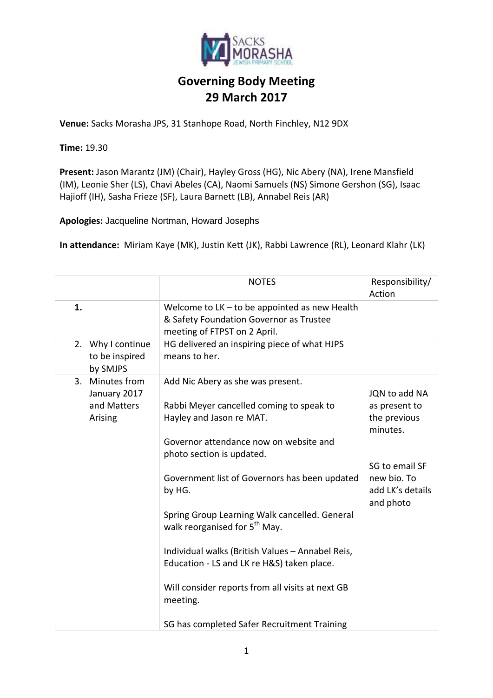

**Venue:** Sacks Morasha JPS, 31 Stanhope Road, North Finchley, N12 9DX

**Time:** 19.30

**Present:** Jason Marantz (JM) (Chair), Hayley Gross (HG), Nic Abery (NA), Irene Mansfield (IM), Leonie Sher (LS), Chavi Abeles (CA), Naomi Samuels (NS) Simone Gershon (SG), Isaac Hajioff (IH), Sasha Frieze (SF), Laura Barnett (LB), Annabel Reis (AR)

**Apologies:** Jacqueline Nortman, Howard Josephs

**In attendance:** Miriam Kaye (MK), Justin Kett (JK), Rabbi Lawrence (RL), Leonard Klahr (LK)

|                                                              | <b>NOTES</b>                                                                                                                                                                                                                                                                                                                                                                                                                                                                                                                                               | Responsibility/<br>Action                                                                                                    |
|--------------------------------------------------------------|------------------------------------------------------------------------------------------------------------------------------------------------------------------------------------------------------------------------------------------------------------------------------------------------------------------------------------------------------------------------------------------------------------------------------------------------------------------------------------------------------------------------------------------------------------|------------------------------------------------------------------------------------------------------------------------------|
| 1.                                                           | Welcome to $LK -$ to be appointed as new Health<br>& Safety Foundation Governor as Trustee<br>meeting of FTPST on 2 April.                                                                                                                                                                                                                                                                                                                                                                                                                                 |                                                                                                                              |
| Why I continue<br>2.<br>to be inspired<br>by SMJPS           | HG delivered an inspiring piece of what HJPS<br>means to her.                                                                                                                                                                                                                                                                                                                                                                                                                                                                                              |                                                                                                                              |
| Minutes from<br>3.<br>January 2017<br>and Matters<br>Arising | Add Nic Abery as she was present.<br>Rabbi Meyer cancelled coming to speak to<br>Hayley and Jason re MAT.<br>Governor attendance now on website and<br>photo section is updated.<br>Government list of Governors has been updated<br>by HG.<br>Spring Group Learning Walk cancelled. General<br>walk reorganised for 5 <sup>th</sup> May.<br>Individual walks (British Values - Annabel Reis,<br>Education - LS and LK re H&S) taken place.<br>Will consider reports from all visits at next GB<br>meeting.<br>SG has completed Safer Recruitment Training | JQN to add NA<br>as present to<br>the previous<br>minutes.<br>SG to email SF<br>new bio. To<br>add LK's details<br>and photo |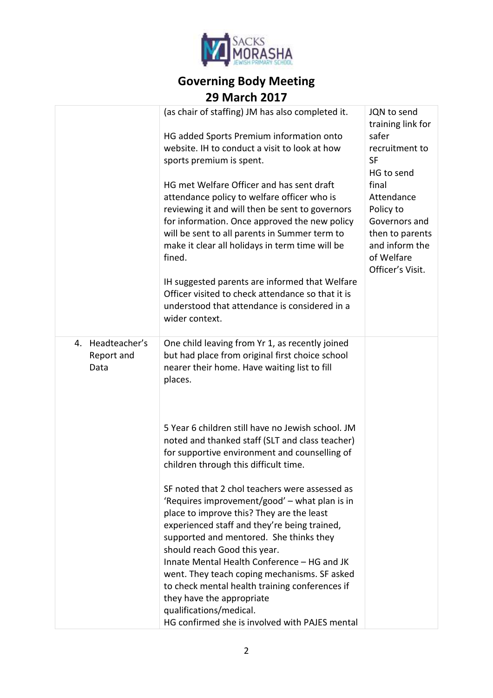

|                                           | (as chair of staffing) JM has also completed it.<br>HG added Sports Premium information onto<br>website. IH to conduct a visit to look at how<br>sports premium is spent.<br>HG met Welfare Officer and has sent draft<br>attendance policy to welfare officer who is<br>reviewing it and will then be sent to governors<br>for information. Once approved the new policy<br>will be sent to all parents in Summer term to<br>make it clear all holidays in term time will be<br>fined.<br>IH suggested parents are informed that Welfare<br>Officer visited to check attendance so that it is<br>understood that attendance is considered in a<br>wider context.                                                                                                                                                                                                                                       | JQN to send<br>training link for<br>safer<br>recruitment to<br><b>SF</b><br>HG to send<br>final<br>Attendance<br>Policy to<br>Governors and<br>then to parents<br>and inform the<br>of Welfare<br>Officer's Visit. |
|-------------------------------------------|---------------------------------------------------------------------------------------------------------------------------------------------------------------------------------------------------------------------------------------------------------------------------------------------------------------------------------------------------------------------------------------------------------------------------------------------------------------------------------------------------------------------------------------------------------------------------------------------------------------------------------------------------------------------------------------------------------------------------------------------------------------------------------------------------------------------------------------------------------------------------------------------------------|--------------------------------------------------------------------------------------------------------------------------------------------------------------------------------------------------------------------|
| Headteacher's<br>4.<br>Report and<br>Data | One child leaving from Yr 1, as recently joined<br>but had place from original first choice school<br>nearer their home. Have waiting list to fill<br>places.<br>5 Year 6 children still have no Jewish school. JM<br>noted and thanked staff (SLT and class teacher)<br>for supportive environment and counselling of<br>children through this difficult time.<br>SF noted that 2 chol teachers were assessed as<br>'Requires improvement/good' $-$ what plan is in<br>place to improve this? They are the least<br>experienced staff and they're being trained,<br>supported and mentored. She thinks they<br>should reach Good this year.<br>Innate Mental Health Conference - HG and JK<br>went. They teach coping mechanisms. SF asked<br>to check mental health training conferences if<br>they have the appropriate<br>qualifications/medical.<br>HG confirmed she is involved with PAJES mental |                                                                                                                                                                                                                    |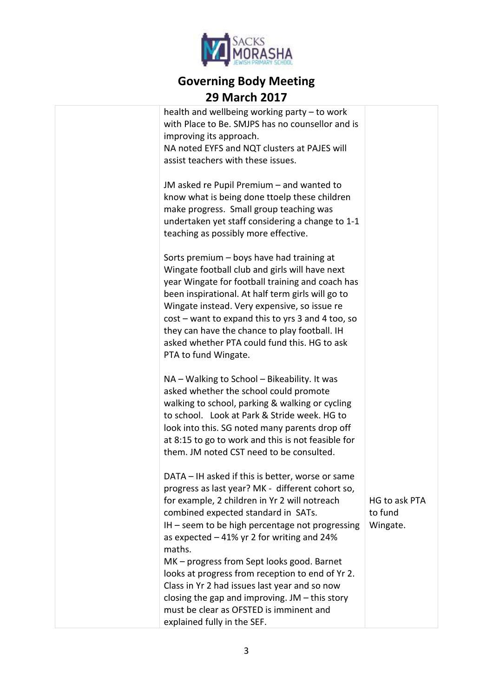

health and wellbeing working party – to work with Place to Be. SMJPS has no counsellor and is improving its approach. NA noted EYFS and NQT clusters at PAJES will assist teachers with these issues. JM asked re Pupil Premium – and wanted to know what is being done ttoelp these children make progress. Small group teaching was undertaken yet staff considering a change to 1-1 teaching as possibly more effective. Sorts premium – boys have had training at Wingate football club and girls will have next year Wingate for football training and coach has been inspirational. At half term girls will go to Wingate instead. Very expensive, so issue re cost – want to expand this to yrs 3 and 4 too, so they can have the chance to play football. IH asked whether PTA could fund this. HG to ask PTA to fund Wingate.

NA – Walking to School – Bikeability. It was asked whether the school could promote walking to school, parking & walking or cycling to school. Look at Park & Stride week. HG to look into this. SG noted many parents drop off at 8:15 to go to work and this is not feasible for them. JM noted CST need to be consulted.

DATA – IH asked if this is better, worse or same progress as last year? MK - different cohort so, for example, 2 children in Yr 2 will notreach combined expected standard in SATs. IH – seem to be high percentage not progressing as expected – 41% yr 2 for writing and 24% maths. MK – progress from Sept looks good. Barnet looks at progress from reception to end of Yr 2. Class in Yr 2 had issues last year and so now

HG to ask PTA to fund Wingate.

explained fully in the SEF.

closing the gap and improving. JM – this story must be clear as OFSTED is imminent and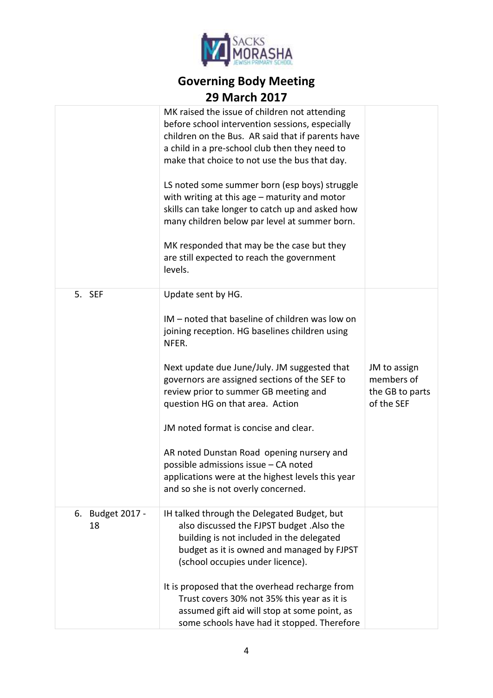

|                           | MK raised the issue of children not attending<br>before school intervention sessions, especially<br>children on the Bus. AR said that if parents have<br>a child in a pre-school club then they need to<br>make that choice to not use the bus that day.<br>LS noted some summer born (esp boys) struggle<br>with writing at this age - maturity and motor<br>skills can take longer to catch up and asked how<br>many children below par level at summer born.<br>MK responded that may be the case but they<br>are still expected to reach the government<br>levels. |                                                             |
|---------------------------|------------------------------------------------------------------------------------------------------------------------------------------------------------------------------------------------------------------------------------------------------------------------------------------------------------------------------------------------------------------------------------------------------------------------------------------------------------------------------------------------------------------------------------------------------------------------|-------------------------------------------------------------|
| 5. SEF                    | Update sent by HG.<br>IM - noted that baseline of children was low on<br>joining reception. HG baselines children using<br>NFER.<br>Next update due June/July. JM suggested that<br>governors are assigned sections of the SEF to<br>review prior to summer GB meeting and<br>question HG on that area. Action<br>JM noted format is concise and clear.<br>AR noted Dunstan Road opening nursery and<br>possible admissions issue - CA noted<br>applications were at the highest levels this year<br>and so she is not overly concerned.                               | JM to assign<br>members of<br>the GB to parts<br>of the SEF |
| Budget 2017 -<br>6.<br>18 | IH talked through the Delegated Budget, but<br>also discussed the FJPST budget .Also the<br>building is not included in the delegated<br>budget as it is owned and managed by FJPST<br>(school occupies under licence).<br>It is proposed that the overhead recharge from<br>Trust covers 30% not 35% this year as it is<br>assumed gift aid will stop at some point, as<br>some schools have had it stopped. Therefore                                                                                                                                                |                                                             |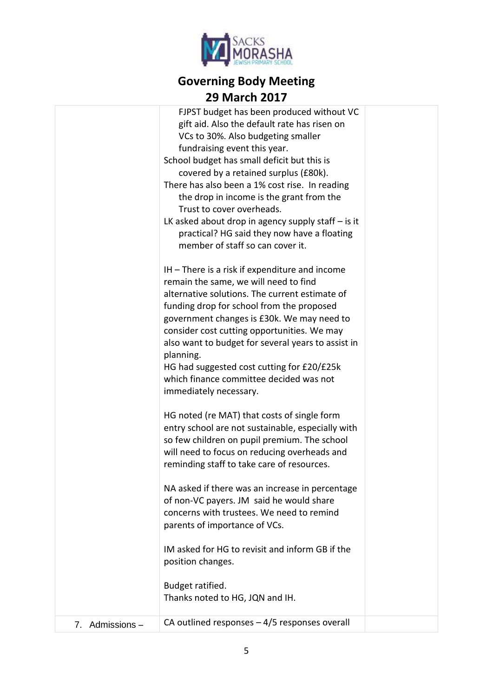

|                 | FJPST budget has been produced without VC<br>gift aid. Also the default rate has risen on<br>VCs to 30%. Also budgeting smaller<br>fundraising event this year.<br>School budget has small deficit but this is<br>covered by a retained surplus (£80k).<br>There has also been a 1% cost rise. In reading<br>the drop in income is the grant from the<br>Trust to cover overheads.<br>LK asked about drop in agency supply staff $-$ is it<br>practical? HG said they now have a floating                       |  |
|-----------------|-----------------------------------------------------------------------------------------------------------------------------------------------------------------------------------------------------------------------------------------------------------------------------------------------------------------------------------------------------------------------------------------------------------------------------------------------------------------------------------------------------------------|--|
|                 | member of staff so can cover it.<br>$IH$ – There is a risk if expenditure and income<br>remain the same, we will need to find<br>alternative solutions. The current estimate of<br>funding drop for school from the proposed<br>government changes is £30k. We may need to<br>consider cost cutting opportunities. We may<br>also want to budget for several years to assist in<br>planning.<br>HG had suggested cost cutting for £20/£25k<br>which finance committee decided was not<br>immediately necessary. |  |
|                 | HG noted (re MAT) that costs of single form<br>entry school are not sustainable, especially with<br>so few children on pupil premium. The school<br>will need to focus on reducing overheads and<br>reminding staff to take care of resources.<br>NA asked if there was an increase in percentage<br>of non-VC payers. JM said he would share<br>concerns with trustees. We need to remind                                                                                                                      |  |
|                 | parents of importance of VCs.<br>IM asked for HG to revisit and inform GB if the<br>position changes.<br>Budget ratified.<br>Thanks noted to HG, JQN and IH.                                                                                                                                                                                                                                                                                                                                                    |  |
| 7. Admissions - | CA outlined responses $-4/5$ responses overall                                                                                                                                                                                                                                                                                                                                                                                                                                                                  |  |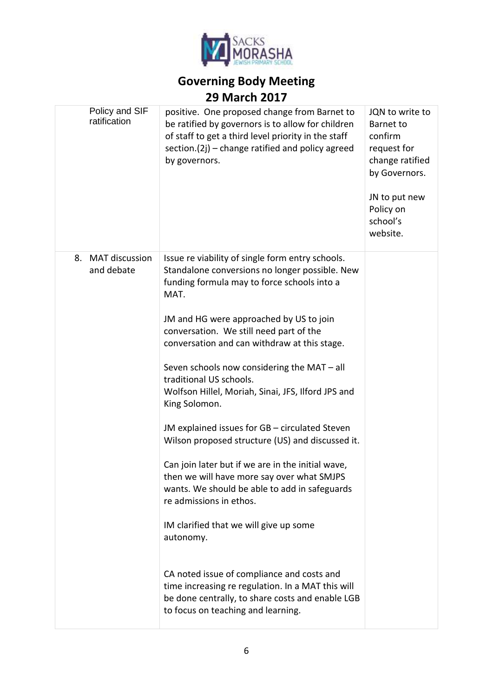

| Policy and SIF<br>ratification            | positive. One proposed change from Barnet to<br>be ratified by governors is to allow for children<br>of staff to get a third level priority in the staff<br>section. $(2j)$ – change ratified and policy agreed<br>by governors. | JQN to write to<br><b>Barnet to</b><br>confirm<br>request for<br>change ratified<br>by Governors.<br>JN to put new<br>Policy on<br>school's<br>website. |
|-------------------------------------------|----------------------------------------------------------------------------------------------------------------------------------------------------------------------------------------------------------------------------------|---------------------------------------------------------------------------------------------------------------------------------------------------------|
| <b>MAT discussion</b><br>8.<br>and debate | Issue re viability of single form entry schools.<br>Standalone conversions no longer possible. New<br>funding formula may to force schools into a<br>MAT.                                                                        |                                                                                                                                                         |
|                                           | JM and HG were approached by US to join<br>conversation. We still need part of the<br>conversation and can withdraw at this stage.                                                                                               |                                                                                                                                                         |
|                                           | Seven schools now considering the MAT - all<br>traditional US schools.<br>Wolfson Hillel, Moriah, Sinai, JFS, Ilford JPS and<br>King Solomon.                                                                                    |                                                                                                                                                         |
|                                           | JM explained issues for GB - circulated Steven<br>Wilson proposed structure (US) and discussed it.                                                                                                                               |                                                                                                                                                         |
|                                           | Can join later but if we are in the initial wave,<br>then we will have more say over what SMJPS<br>wants. We should be able to add in safeguards<br>re admissions in ethos.                                                      |                                                                                                                                                         |
|                                           | IM clarified that we will give up some<br>autonomy.                                                                                                                                                                              |                                                                                                                                                         |
|                                           | CA noted issue of compliance and costs and<br>time increasing re regulation. In a MAT this will<br>be done centrally, to share costs and enable LGB<br>to focus on teaching and learning.                                        |                                                                                                                                                         |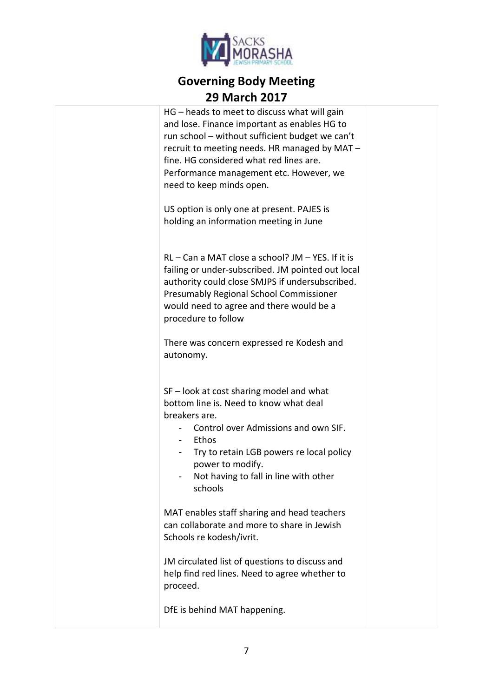

| HG – heads to meet to discuss what will gain<br>and lose. Finance important as enables HG to<br>run school - without sufficient budget we can't<br>recruit to meeting needs. HR managed by MAT-<br>fine. HG considered what red lines are.<br>Performance management etc. However, we<br>need to keep minds open. |  |
|-------------------------------------------------------------------------------------------------------------------------------------------------------------------------------------------------------------------------------------------------------------------------------------------------------------------|--|
| US option is only one at present. PAJES is<br>holding an information meeting in June                                                                                                                                                                                                                              |  |
| $RL - Can a MAT close a school? JM - YES. If it is$<br>failing or under-subscribed. JM pointed out local<br>authority could close SMJPS if undersubscribed.<br>Presumably Regional School Commissioner<br>would need to agree and there would be a<br>procedure to follow                                         |  |
| There was concern expressed re Kodesh and<br>autonomy.                                                                                                                                                                                                                                                            |  |
| SF – look at cost sharing model and what<br>bottom line is. Need to know what deal<br>breakers are.<br>Control over Admissions and own SIF.<br>Ethos<br>Try to retain LGB powers re local policy<br>power to modify.<br>Not having to fall in line with other<br>schools                                          |  |
| MAT enables staff sharing and head teachers<br>can collaborate and more to share in Jewish<br>Schools re kodesh/ivrit.                                                                                                                                                                                            |  |
| JM circulated list of questions to discuss and<br>help find red lines. Need to agree whether to<br>proceed.                                                                                                                                                                                                       |  |
| DfE is behind MAT happening.                                                                                                                                                                                                                                                                                      |  |